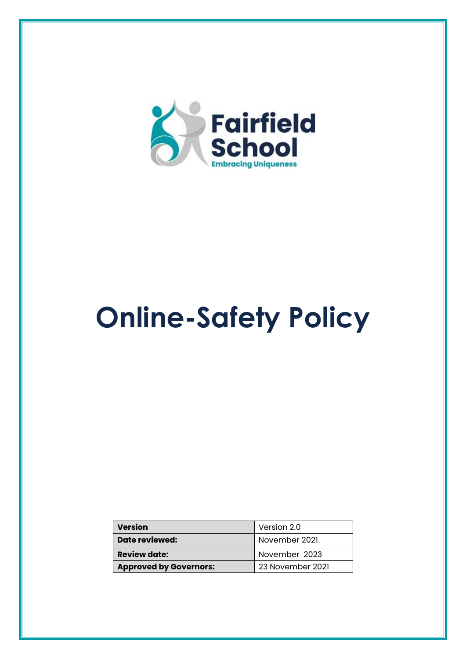

# **Online-Safety Policy**

| <b>Version</b>                | Version 2.0      |  |
|-------------------------------|------------------|--|
| Date reviewed:                | November 2021    |  |
| <b>Review date:</b>           | November 2023    |  |
| <b>Approved by Governors:</b> | 23 November 2021 |  |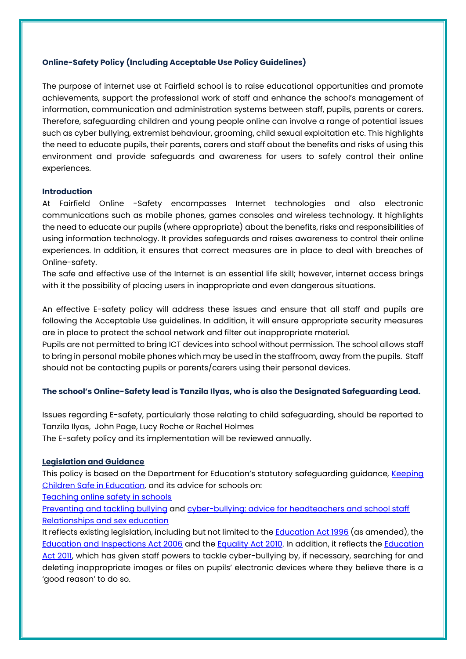# **Online-Safety Policy (Including Acceptable Use Policy Guidelines)**

The purpose of internet use at Fairfield school is to raise educational opportunities and promote achievements, support the professional work of staff and enhance the school's management of information, communication and administration systems between staff, pupils, parents or carers. Therefore, safeguarding children and young people online can involve a range of potential issues such as cyber bullying, extremist behaviour, grooming, child sexual exploitation etc. This highlights the need to educate pupils, their parents, carers and staff about the benefits and risks of using this environment and provide safeguards and awareness for users to safely control their online experiences.

# **Introduction**

At Fairfield Online -Safety encompasses Internet technologies and also electronic communications such as mobile phones, games consoles and wireless technology. It highlights the need to educate our pupils (where appropriate) about the benefits, risks and responsibilities of using information technology. It provides safeguards and raises awareness to control their online experiences. In addition, it ensures that correct measures are in place to deal with breaches of Online-safety.

The safe and effective use of the Internet is an essential life skill; however, internet access brings with it the possibility of placing users in inappropriate and even dangerous situations.

An effective E-safety policy will address these issues and ensure that all staff and pupils are following the Acceptable Use guidelines. In addition, it will ensure appropriate security measures are in place to protect the school network and filter out inappropriate material.

Pupils are not permitted to bring ICT devices into school without permission. The school allows staff to bring in personal mobile phones which may be used in the staffroom, away from the pupils. Staff should not be contacting pupils or parents/carers using their personal devices.

# **The school's Online-Safety lead is Tanzila Ilyas, who is also the Designated Safeguarding Lead.**

Issues regarding E-safety, particularly those relating to child safeguarding, should be reported to Tanzila Ilyas, John Page, Lucy Roche or Rachel Holmes The E-safety policy and its implementation will be reviewed annually.

#### **Legislation and Guidance**

This policy is based on the Department for Education's statutory safeguarding guidance, Keeping [Children Safe in Education.](https://www.gov.uk/government/publications/keeping-children-safe-in-education--2) and its advice for schools on:

[Teaching online safety in schools](https://www.gov.uk/government/publications/teaching-online-safety-in-schools)

[Preventing and tackling bullying](https://www.gov.uk/government/publications/preventing-and-tackling-bullying) and [cyber-bullying: advice for headteachers and school staff](https://www.gov.uk/government/publications/preventing-and-tackling-bullying) [Relationships and sex education](https://www.gov.uk/government/publications/relationships-education-relationships-and-sex-education-rse-and-health-education)

It reflects existing legislation, including but not limited to the **Education Act 1996** (as amended), the [Education and Inspections Act 2006](https://www.legislation.gov.uk/ukpga/2006/40/contents) and the [Equality Act 2010.](https://www.legislation.gov.uk/ukpga/2010/15/contents) In addition, it reflects the [Education](http://www.legislation.gov.uk/ukpga/2011/21/contents/enacted)  [Act 2011,](http://www.legislation.gov.uk/ukpga/2011/21/contents/enacted) which has given staff powers to tackle cyber-bullying by, if necessary, searching for and deleting inappropriate images or files on pupils' electronic devices where they believe there is a 'good reason' to do so.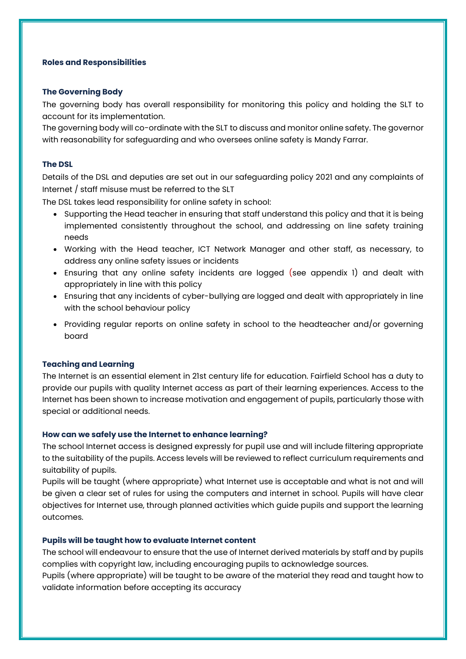#### **Roles and Responsibilities**

#### **The Governing Body**

The governing body has overall responsibility for monitoring this policy and holding the SLT to account for its implementation.

The governing body will co-ordinate with the SLT to discuss and monitor online safety. The governor with reasonability for safeguarding and who oversees online safety is Mandy Farrar.

#### **The DSL**

Details of the DSL and deputies are set out in our safeguarding policy 2021 and any complaints of Internet / staff misuse must be referred to the SLT

The DSL takes lead responsibility for online safety in school:

- Supporting the Head teacher in ensuring that staff understand this policy and that it is being implemented consistently throughout the school, and addressing on line safety training needs
- Working with the Head teacher, ICT Network Manager and other staff, as necessary, to address any online safety issues or incidents
- Ensuring that any online safety incidents are logged (see appendix 1) and dealt with appropriately in line with this policy
- Ensuring that any incidents of cyber-bullying are logged and dealt with appropriately in line with the school behaviour policy
- Providing regular reports on online safety in school to the headteacher and/or governing board

#### **Teaching and Learning**

The Internet is an essential element in 21st century life for education. Fairfield School has a duty to provide our pupils with quality Internet access as part of their learning experiences. Access to the Internet has been shown to increase motivation and engagement of pupils, particularly those with special or additional needs.

#### **How can we safely use the Internet to enhance learning?**

The school Internet access is designed expressly for pupil use and will include filtering appropriate to the suitability of the pupils. Access levels will be reviewed to reflect curriculum requirements and suitability of pupils.

Pupils will be taught (where appropriate) what Internet use is acceptable and what is not and will be given a clear set of rules for using the computers and internet in school. Pupils will have clear objectives for Internet use, through planned activities which guide pupils and support the learning outcomes.

#### **Pupils will be taught how to evaluate Internet content**

The school will endeavour to ensure that the use of Internet derived materials by staff and by pupils complies with copyright law, including encouraging pupils to acknowledge sources.

Pupils (where appropriate) will be taught to be aware of the material they read and taught how to validate information before accepting its accuracy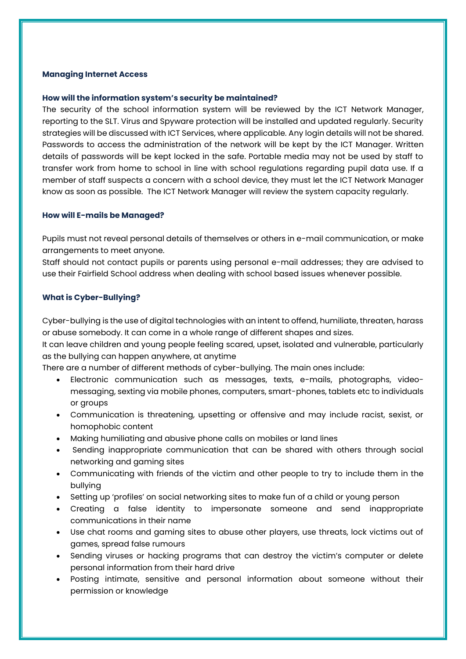#### **Managing Internet Access**

#### **How will the information system's security be maintained?**

The security of the school information system will be reviewed by the ICT Network Manager, reporting to the SLT. Virus and Spyware protection will be installed and updated regularly. Security strategies will be discussed with ICT Services, where applicable. Any login details will not be shared. Passwords to access the administration of the network will be kept by the ICT Manager. Written details of passwords will be kept locked in the safe. Portable media may not be used by staff to transfer work from home to school in line with school regulations regarding pupil data use. If a member of staff suspects a concern with a school device, they must let the ICT Network Manager know as soon as possible. The ICT Network Manager will review the system capacity regularly.

#### **How will E-mails be Managed?**

Pupils must not reveal personal details of themselves or others in e-mail communication, or make arrangements to meet anyone.

Staff should not contact pupils or parents using personal e-mail addresses; they are advised to use their Fairfield School address when dealing with school based issues whenever possible.

# **What is Cyber-Bullying?**

Cyber-bullying is the use of digital technologies with an intent to offend, humiliate, threaten, harass or abuse somebody. It can come in a whole range of different shapes and sizes.

It can leave children and young people feeling scared, upset, isolated and vulnerable, particularly as the bullying can happen anywhere, at anytime

There are a number of different methods of cyber-bullying. The main ones include:

- Electronic communication such as messages, texts, e-mails, photographs, videomessaging, sexting via mobile phones, computers, smart-phones, tablets etc to individuals or groups
- Communication is threatening, upsetting or offensive and may include racist, sexist, or homophobic content
- Making humiliating and abusive phone calls on mobiles or land lines
- Sending inappropriate communication that can be shared with others through social networking and gaming sites
- Communicating with friends of the victim and other people to try to include them in the bullying
- Setting up 'profiles' on social networking sites to make fun of a child or young person
- Creating a false identity to impersonate someone and send inappropriate communications in their name
- Use chat rooms and gaming sites to abuse other players, use threats, lock victims out of games, spread false rumours
- Sending viruses or hacking programs that can destroy the victim's computer or delete personal information from their hard drive
- Posting intimate, sensitive and personal information about someone without their permission or knowledge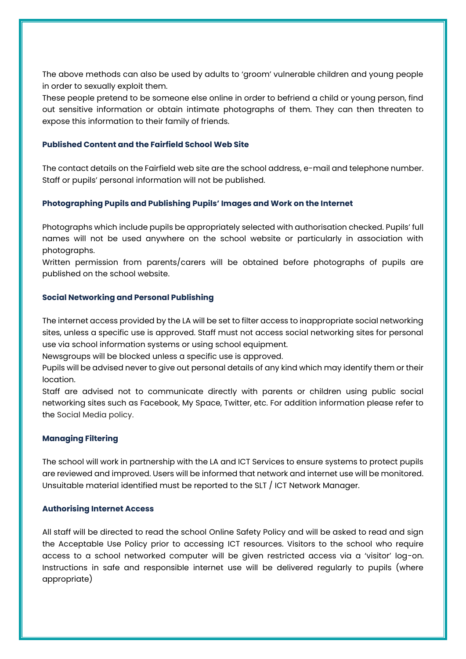The above methods can also be used by adults to 'groom' vulnerable children and young people in order to sexually exploit them.

These people pretend to be someone else online in order to befriend a child or young person, find out sensitive information or obtain intimate photographs of them. They can then threaten to expose this information to their family of friends.

# **Published Content and the Fairfield School Web Site**

The contact details on the Fairfield web site are the school address, e-mail and telephone number. Staff or pupils' personal information will not be published.

# **Photographing Pupils and Publishing Pupils' Images and Work on the Internet**

Photographs which include pupils be appropriately selected with authorisation checked. Pupils' full names will not be used anywhere on the school website or particularly in association with photographs.

Written permission from parents/carers will be obtained before photographs of pupils are published on the school website.

# **Social Networking and Personal Publishing**

The internet access provided by the LA will be set to filter access to inappropriate social networking sites, unless a specific use is approved. Staff must not access social networking sites for personal use via school information systems or using school equipment.

Newsgroups will be blocked unless a specific use is approved.

Pupils will be advised never to give out personal details of any kind which may identify them or their location.

Staff are advised not to communicate directly with parents or children using public social networking sites such as Facebook, My Space, Twitter, etc. For addition information please refer to the Social Media policy.

# **Managing Filtering**

The school will work in partnership with the LA and ICT Services to ensure systems to protect pupils are reviewed and improved. Users will be informed that network and internet use will be monitored. Unsuitable material identified must be reported to the SLT / ICT Network Manager.

# **Authorising Internet Access**

All staff will be directed to read the school Online Safety Policy and will be asked to read and sign the Acceptable Use Policy prior to accessing ICT resources. Visitors to the school who require access to a school networked computer will be given restricted access via a 'visitor' log-on. Instructions in safe and responsible internet use will be delivered regularly to pupils (where appropriate)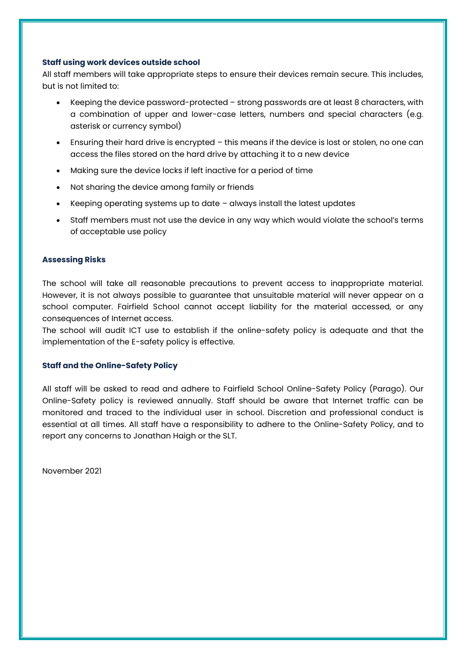#### **Staff using work devices outside school**

All staff members will take appropriate steps to ensure their devices remain secure. This includes, but is not limited to:

- Keeping the device password-protected strong passwords are at least 8 characters, with a combination of upper and lower-case letters, numbers and special characters (e.g. asterisk or currency symbol)
- Ensuring their hard drive is encrypted this means if the device is lost or stolen, no one can access the files stored on the hard drive by attaching it to a new device
- Making sure the device locks if left inactive for a period of time
- Not sharing the device among family or friends
- Keeping operating systems up to date  $-$  always install the latest updates
- Staff members must not use the device in any way which would violate the school's terms of acceptable use policy

#### **Assessing Risks**

The school will take all reasonable precautions to prevent access to inappropriate material. However, it is not always possible to guarantee that unsuitable material will never appear on a school computer. Fairfield School cannot accept liability for the material accessed, or any consequences of Internet access.

The school will audit ICT use to establish if the online-safety policy is adequate and that the implementation of the E-safety policy is effective.

# **Staff and the Online-Safety Policy**

All staff will be asked to read and adhere to Fairfield School Online-Safety Policy (Parago). Our Online-Safety policy is reviewed annually. Staff should be aware that Internet traffic can be monitored and traced to the individual user in school. Discretion and professional conduct is essential at all times. All staff have a responsibility to adhere to the Online-Safety Policy, and to report any concerns to Jonathan Haigh or the SLT.

November 2021